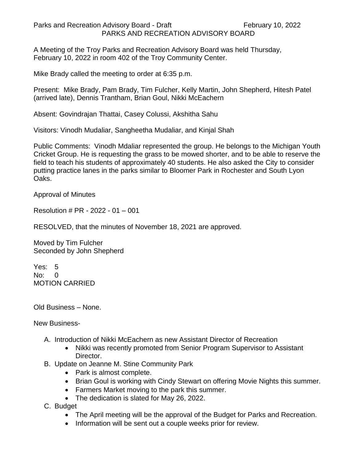Parks and Recreation Advisory Board - Draft February 10, 2022 PARKS AND RECREATION ADVISORY BOARD

A Meeting of the Troy Parks and Recreation Advisory Board was held Thursday, February 10, 2022 in room 402 of the Troy Community Center.

Mike Brady called the meeting to order at 6:35 p.m.

Present: Mike Brady, Pam Brady, Tim Fulcher, Kelly Martin, John Shepherd, Hitesh Patel (arrived late), Dennis Trantham, Brian Goul, Nikki McEachern

Absent: Govindrajan Thattai, Casey Colussi, Akshitha Sahu

Visitors: Vinodh Mudaliar, Sangheetha Mudaliar, and Kinjal Shah

Public Comments: Vinodh Mdaliar represented the group. He belongs to the Michigan Youth Cricket Group. He is requesting the grass to be mowed shorter, and to be able to reserve the field to teach his students of approximately 40 students. He also asked the City to consider putting practice lanes in the parks similar to Bloomer Park in Rochester and South Lyon Oaks.

Approval of Minutes

Resolution # PR - 2022 - 01 – 001

RESOLVED, that the minutes of November 18, 2021 are approved.

Moved by Tim Fulcher Seconded by John Shepherd

Yes: 5 No: 0 MOTION CARRIED

Old Business – None.

New Business-

- A. Introduction of Nikki McEachern as new Assistant Director of Recreation
	- Nikki was recently promoted from Senior Program Supervisor to Assistant Director.
- B. Update on Jeanne M. Stine Community Park
	- Park is almost complete.
	- Brian Goul is working with Cindy Stewart on offering Movie Nights this summer.
	- Farmers Market moving to the park this summer.
	- The dedication is slated for May 26, 2022.
- C. Budget
	- The April meeting will be the approval of the Budget for Parks and Recreation.
	- Information will be sent out a couple weeks prior for review.